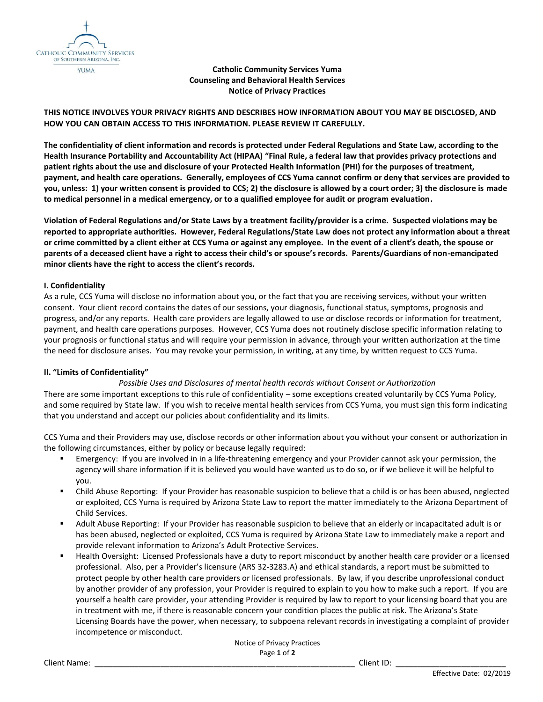

**Catholic Community Services Yuma Counseling and Behavioral Health Services Notice of Privacy Practices**

# **THIS NOTICE INVOLVES YOUR PRIVACY RIGHTS AND DESCRIBES HOW INFORMATION ABOUT YOU MAY BE DISCLOSED, AND HOW YOU CAN OBTAIN ACCESS TO THIS INFORMATION. PLEASE REVIEW IT CAREFULLY.**

**The confidentiality of client information and records is protected under Federal Regulations and State Law, according to the Health Insurance Portability and Accountability Act (HIPAA) "Final Rule, a federal law that provides privacy protections and patient rights about the use and disclosure of your Protected Health Information (PHI) for the purposes of treatment, payment, and health care operations. Generally, employees of CCS Yuma cannot confirm or deny that services are provided to you, unless: 1) your written consent is provided to CCS; 2) the disclosure is allowed by a court order; 3) the disclosure is made to medical personnel in a medical emergency, or to a qualified employee for audit or program evaluation.**

**Violation of Federal Regulations and/or State Laws by a treatment facility/provider is a crime. Suspected violations may be reported to appropriate authorities. However, Federal Regulations/State Law does not protect any information about a threat or crime committed by a client either at CCS Yuma or against any employee. In the event of a client's death, the spouse or parents of a deceased client have a right to access their child's or spouse's records. Parents/Guardians of non-emancipated minor clients have the right to access the client's records.**

### **I. Confidentiality**

As a rule, CCS Yuma will disclose no information about you, or the fact that you are receiving services, without your written consent. Your client record contains the dates of our sessions, your diagnosis, functional status, symptoms, prognosis and progress, and/or any reports. Health care providers are legally allowed to use or disclose records or information for treatment, payment, and health care operations purposes. However, CCS Yuma does not routinely disclose specific information relating to your prognosis or functional status and will require your permission in advance, through your written authorization at the time the need for disclosure arises. You may revoke your permission, in writing, at any time, by written request to CCS Yuma.

### **II. "Limits of Confidentiality"**

# *Possible Uses and Disclosures of mental health records without Consent or Authorization*

There are some important exceptions to this rule of confidentiality – some exceptions created voluntarily by CCS Yuma Policy, and some required by State law. If you wish to receive mental health services from CCS Yuma, you must sign this form indicating that you understand and accept our policies about confidentiality and its limits.

CCS Yuma and their Providers may use, disclose records or other information about you without your consent or authorization in the following circumstances, either by policy or because legally required:

- Emergency: If you are involved in in a life-threatening emergency and your Provider cannot ask your permission, the agency will share information if it is believed you would have wanted us to do so, or if we believe it will be helpful to you.
- Child Abuse Reporting: If your Provider has reasonable suspicion to believe that a child is or has been abused, neglected or exploited, CCS Yuma is required by Arizona State Law to report the matter immediately to the Arizona Department of Child Services.
- Adult Abuse Reporting: If your Provider has reasonable suspicion to believe that an elderly or incapacitated adult is or has been abused, neglected or exploited, CCS Yuma is required by Arizona State Law to immediately make a report and provide relevant information to Arizona's Adult Protective Services.
- Health Oversight: Licensed Professionals have a duty to report misconduct by another health care provider or a licensed professional. Also, per a Provider's licensure (ARS 32-3283.A) and ethical standards, a report must be submitted to protect people by other health care providers or licensed professionals. By law, if you describe unprofessional conduct by another provider of any profession, your Provider is required to explain to you how to make such a report. If you are yourself a health care provider, your attending Provider is required by law to report to your licensing board that you are in treatment with me, if there is reasonable concern your condition places the public at risk. The Arizona's State Licensing Boards have the power, when necessary, to subpoena relevant records in investigating a complaint of provider incompetence or misconduct.

Notice of Privacy Practices Page **1** of **2**